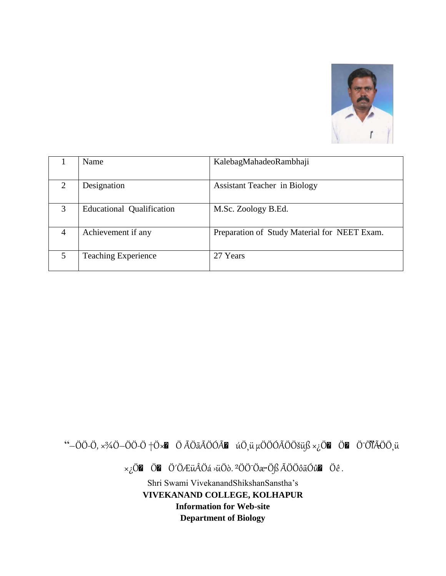

|   | Name                             | KalebagMahadeoRambhaji                       |
|---|----------------------------------|----------------------------------------------|
| 2 | Designation                      | <b>Assistant Teacher in Biology</b>          |
| 3 | <b>Educational Qualification</b> | M.Sc. Zoology B.Ed.                          |
| 4 | Achievement if any               | Preparation of Study Material for NEET Exam. |
| 5 | <b>Teaching Experience</b>       | 27 Years                                     |

"-ÖÖ-Ö,  $\times$ %Ö-ÖÖ-Ö +Ö $\times$ M Ö ÃÖãÃÖÓÃM úÖ, ü µÖÖÓÃÖÖšüß  $\times$ ¿ÖM ÖM Ö<sup>-</sup>ÖÏÃÖÖ, ü

 $\times_{\xi}$ ÖZ ÖZ Ö'ÖÆüÂÖá >üÖð. <sup>2</sup>ÖÖ<sup>-</sup>Öæ·Öß ÃÖÖôãÓûZ Öê.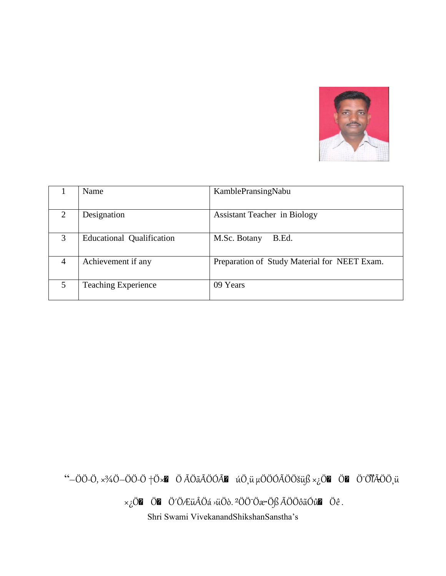

|                | Name                             | KamblePransingNabu                           |
|----------------|----------------------------------|----------------------------------------------|
| $\mathfrak{D}$ | Designation                      | <b>Assistant Teacher in Biology</b>          |
| 3              | <b>Educational Qualification</b> | M.Sc. Botany<br>B.Ed.                        |
| 4              | Achievement if any               | Preparation of Study Material for NEET Exam. |
| 5              | <b>Teaching Experience</b>       | 09 Years                                     |

"-ÖÖ-Ö,  $\times$ %Ö-ÖÖ-Ö +Ö $\times$ **n** Ö ÃÖãÃÖÓÃ**n** úÖ,ü µÖÖÓÃÖÖšüß ×¿Ö**n** Ön Ö ÖÏÃÖÖ,ü

 $\times_{\mathcal{L}}\ddot{\mathrm{O}}$   $\mathbf{Z}$   $\ddot{\mathrm{O}}$   $\mathbf{Z}$   $\ddot{\mathrm{O}}$   $\ddot{\mathrm{O}}$   $\ddot{\mathrm{O}}$   $\ddot{\mathrm{O}}$   $\ddot{\mathrm{O}}$   $\ddot{\mathrm{O}}$   $\ddot{\mathrm{O}}$   $\ddot{\mathrm{O}}$   $\ddot{\mathrm{O}}$   $\ddot{\mathrm{O}}$   $\ddot{\mathrm{O}}$   $\ddot{\mathrm{O}}$   $\ddot{\mathrm{O}}$   $\ddot{\mathrm{O}}$   $\ddot{\mathrm{O}}$   $\ddot{\mathrm{$ 

Shri Swami VivekanandShikshanSanstha's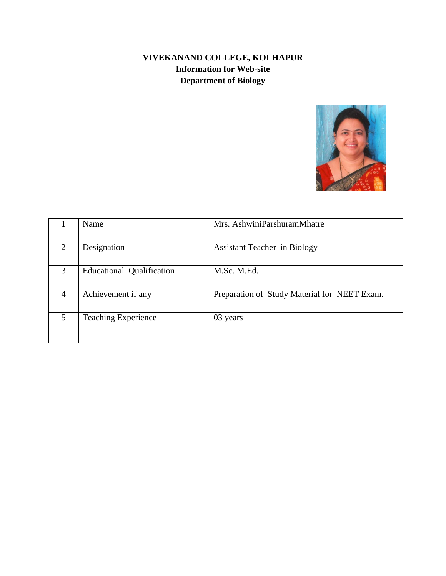#### **VIVEKANAND COLLEGE, KOLHAPUR Information for Web-site Department of Biology**



|   | Name                             | Mrs. AshwiniParshuramMhatre                  |
|---|----------------------------------|----------------------------------------------|
|   |                                  |                                              |
| 2 | Designation                      | <b>Assistant Teacher in Biology</b>          |
|   |                                  |                                              |
| 3 | <b>Educational Qualification</b> | M.Sc. M.Ed.                                  |
|   |                                  |                                              |
| 4 | Achievement if any               | Preparation of Study Material for NEET Exam. |
|   |                                  |                                              |
| 5 | <b>Teaching Experience</b>       | 03 years                                     |
|   |                                  |                                              |
|   |                                  |                                              |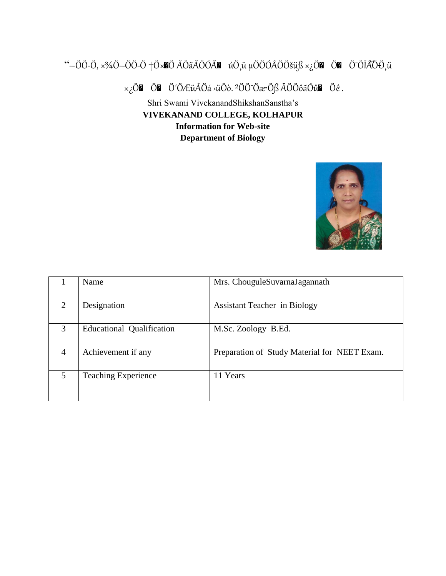## "-ÖÖ-Ö,  $\times$ <sup>3</sup>/4Ö-ÖÖ-Ö †Ö $\times$ •Ö ÃÖãÃÖÓÃ $\blacksquare$  úÖ, ü µÖÖÓÃÖÖšüß  $\times$ ¿Ö $\blacksquare$  Ö $\blacksquare$  ÖÖÏÃÖÖ, ü

 $\times_{\mathcal{L}}\ddot{\mathrm{O}}$   $\mathbf{Z}$   $\ddot{\mathrm{O}}$   $\mathbf{Z}$   $\ddot{\mathrm{O}}$   $\ddot{\mathrm{O}}$   $\ddot{\mathrm{O}}$   $\ddot{\mathrm{O}}$   $\ddot{\mathrm{O}}$   $\ddot{\mathrm{O}}$   $\ddot{\mathrm{O}}$   $\ddot{\mathrm{O}}$   $\ddot{\mathrm{O}}$   $\ddot{\mathrm{O}}$   $\ddot{\mathrm{O}}$   $\ddot{\mathrm{O}}$   $\ddot{\mathrm{O}}$   $\ddot{\mathrm{O}}$   $\ddot{\mathrm{O}}$   $\ddot{\mathrm{$ 



|                             | Name                             | Mrs. ChouguleSuvarnaJagannath                |
|-----------------------------|----------------------------------|----------------------------------------------|
| $\mathcal{D}_{\mathcal{L}}$ | Designation                      | <b>Assistant Teacher in Biology</b>          |
| 3                           | <b>Educational Qualification</b> | M.Sc. Zoology B.Ed.                          |
| $\overline{4}$              | Achievement if any               | Preparation of Study Material for NEET Exam. |
| $\overline{5}$              | <b>Teaching Experience</b>       | 11 Years                                     |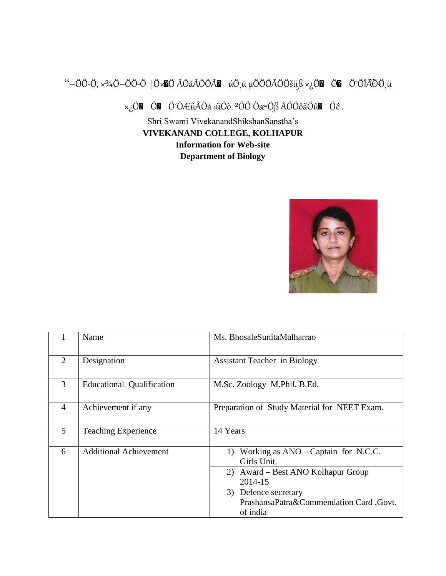# "-ÖÖ-Ö,  $\times$ %Ö-ÖÖ-Ö †Ö $\times$ •Ö ÃÖãÃÖÓÃ $\blacksquare$  úÖ, ü µÖÖÓÃÖÖšüß  $\times$ ¿Ö $\blacksquare$  Ö $\blacksquare$  ÖÖÏÃÖÖ, ü

 $\times_{\mathcal{L}}\ddot{\mathrm{O}}\mathbf{Z}$   $\ddot{\mathrm{O}}\mathbf{Z}$   $\ddot{\mathrm{O}}\dot{\mathrm{O}}\mathcal{L}\ddot{\mathrm{u}}\hat{\mathrm{A}}\ddot{\mathrm{O}}\dot{\mathrm{a}}$   $\times\ddot{\mathrm{O}}\ddot{\mathrm{O}}\dot{\mathrm{O}}\dot{\mathrm{C}}\dot{\mathrm{O}}\dot{\mathrm{C}}\dot{\mathrm{O}}\dot{\mathrm{C}}\dot{\mathrm{C}}\dot{\mathrm{O}}\dot{\mathrm{C}}\dot{\mathrm{O}}\dot{\mathrm{C}}\dot{\mathrm{O}}\dot{\mathrm{C}}\dot{\mathrm{O}}\dot{\mathrm{C}}\$ 



|                | Name                          | Ms. BhosaleSunitaMalharrao                                                                                                          |
|----------------|-------------------------------|-------------------------------------------------------------------------------------------------------------------------------------|
| $\overline{2}$ | Designation                   | <b>Assistant Teacher in Biology</b>                                                                                                 |
| 3              | Educational Qualification     | M.Sc. Zoology M.Phil. B.Ed.                                                                                                         |
| $\overline{4}$ | Achievement if any            | Preparation of Study Material for NEET Exam.                                                                                        |
| 5              | <b>Teaching Experience</b>    | 14 Years                                                                                                                            |
| 6              | <b>Additional Achievement</b> | Working as $ANO - Captain$ for N.C.C.<br>1)<br>Girls Unit.<br>2) Award – Best ANO Kolhapur Group<br>2014-15<br>3) Defence secretary |
|                |                               | PrashansaPatra&Commendation Card ,Govt.<br>of india                                                                                 |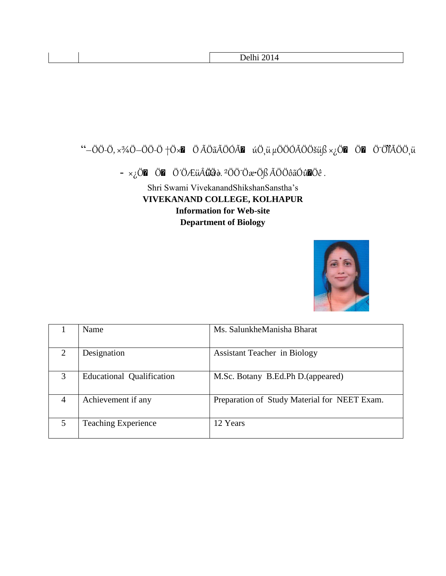# "-ÖÖ-Ö,  $\times$ %Ö-ÖÖ-Ö +Ö $\times$ **M** Ö ÃÖãÃÖÓÃ**M** úÖ,ü µÖÖÓÃÖÖšüß ×¿Ö**M** Ö**M** Ö<sup>-</sup>ÖÏÃÖÖ,ü

 $\hspace{0.1 cm} \rightarrow \hspace{0.1 cm} \times_{\mbox{\Large $\ddot{c}$}} \mbox{\Large $\ddot{O}$} \mbox{\Large $\ddot{O}$} \quad \mbox{\Large $\ddot{O}$} \mbox{\Large $\ddot{O}$} \mbox{\Large $\ddot{A}$} \mbox{\Large $\ddot{O}$} \mbox{\Large $\ddot{O}$} \mbox{\Large $\ddot{B}$} \quad \mbox{\Large $\ddot{A}$} \mbox{\Large $\ddot{O}$} \mbox{\Large $\ddot{O}$} \mbox{\Large $\ddot{B}$} \quad \mbox{\Large $\ddot{O}$} \quad \mbox{\Large $\ddot{O}$} \quad \mbox{\Large $\dd$ 



|                             | Name                             | Ms. SalunkheManisha Bharat                   |
|-----------------------------|----------------------------------|----------------------------------------------|
| $\mathcal{D}_{\mathcal{L}}$ | Designation                      | <b>Assistant Teacher in Biology</b>          |
| 3                           | <b>Educational Qualification</b> | M.Sc. Botany B.Ed.Ph D. (appeared)           |
| 4                           | Achievement if any               | Preparation of Study Material for NEET Exam. |
| 5                           | <b>Teaching Experience</b>       | 12 Years                                     |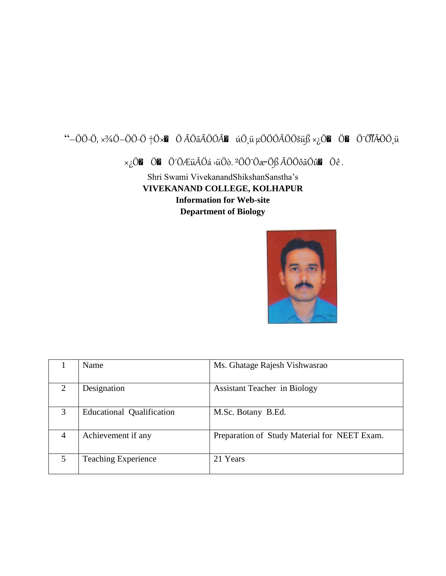## "-ÖÖ-Ö,  $\times$ %Ö-ÖÖ-Ö +Ö $\times$ **M** Ö ÃÖãÃÖÓÃ**M** úÖ, ü µÖÖÓÃÖÖšüß × ¿Ö**M** Ö ÖÏÃÖÖ, ü

 $\times_{\mathcal{L}}\ddot{\mathrm{O}}$   $\mathbf{Z}$   $\ddot{\mathrm{O}}$   $\mathbf{Z}$   $\ddot{\mathrm{O}}$   $\ddot{\mathrm{O}}$   $\ddot{\mathrm{O}}$   $\ddot{\mathrm{O}}$   $\ddot{\mathrm{O}}$   $\ddot{\mathrm{O}}$   $\ddot{\mathrm{O}}$   $\ddot{\mathrm{O}}$   $\ddot{\mathrm{O}}$   $\ddot{\mathrm{O}}$   $\ddot{\mathrm{O}}$   $\ddot{\mathrm{O}}$   $\ddot{\mathrm{O}}$   $\ddot{\mathrm{O}}$   $\ddot{\mathrm{O}}$   $\ddot{\mathrm{$ 



|   | Name                             | Ms. Ghatage Rajesh Vishwasrao                |
|---|----------------------------------|----------------------------------------------|
| 2 | Designation                      | <b>Assistant Teacher in Biology</b>          |
| 3 | <b>Educational Qualification</b> | M.Sc. Botany B.Ed.                           |
|   | Achievement if any               | Preparation of Study Material for NEET Exam. |
|   | <b>Teaching Experience</b>       | 21 Years                                     |